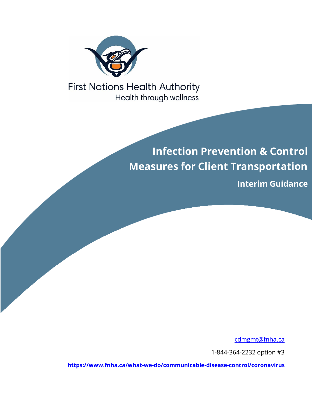

**First Nations Health Authority** Health through wellness

# **Infection Prevention & Control Measures for Client Transportation**

**Interim Guidance**

[cdmgmt@fnha.ca](mailto:cdmgmt@fnha.ca)

1-844-364-2232 option #3

**<https://www.fnha.ca/what-we-do/communicable-disease-control/coronavirus>**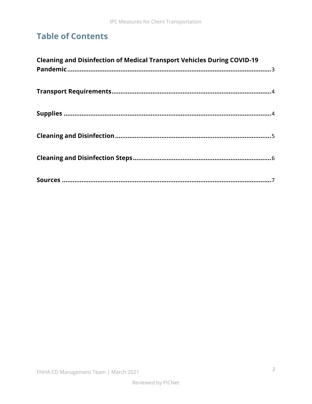# **Table of Contents**

| <b>Cleaning and Disinfection of Medical Transport Vehicles During COVID-19</b> |  |
|--------------------------------------------------------------------------------|--|
|                                                                                |  |
|                                                                                |  |
|                                                                                |  |
|                                                                                |  |
|                                                                                |  |
|                                                                                |  |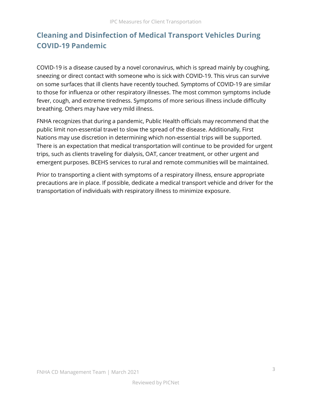## <span id="page-2-0"></span>**Cleaning and Disinfection of Medical Transport Vehicles During COVID-19 Pandemic**

COVID-19 is a disease caused by a novel coronavirus, which is spread mainly by coughing, sneezing or direct contact with someone who is sick with COVID-19. This virus can survive on some surfaces that ill clients have recently touched. Symptoms of COVID-19 are similar to those for influenza or other respiratory illnesses. The most common symptoms include fever, cough, and extreme tiredness. Symptoms of more serious illness include difficulty breathing. Others may have very mild illness.

FNHA recognizes that during a pandemic, Public Health officials may recommend that the public limit non-essential travel to slow the spread of the disease. Additionally, First Nations may use discretion in determining which non-essential trips will be supported. There is an expectation that medical transportation will continue to be provided for urgent trips, such as clients traveling for dialysis, OAT, cancer treatment, or other urgent and emergent purposes. BCEHS services to rural and remote communities will be maintained.

Prior to transporting a client with symptoms of a respiratory illness, ensure appropriate precautions are in place. If possible, dedicate a medical transport vehicle and driver for the transportation of individuals with respiratory illness to minimize exposure.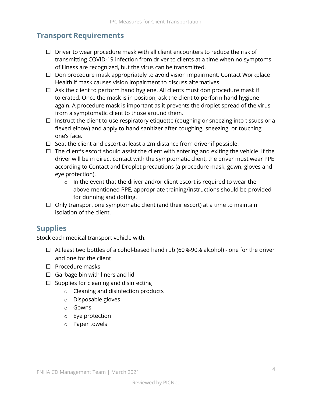#### <span id="page-3-0"></span>**Transport Requirements**

- $\Box$  Driver to wear procedure mask with all client encounters to reduce the risk of transmitting COVID-19 infection from driver to clients at a time when no symptoms of illness are recognized, but the virus can be transmitted.
- $\Box$  Don procedure mask appropriately to avoid vision impairment. Contact Workplace Health if mask causes vision impairment to discuss alternatives.
- $\Box$  Ask the client to perform hand hygiene. All clients must don procedure mask if tolerated. Once the mask is in position, ask the client to perform hand hygiene again. A procedure mask is important as it prevents the droplet spread of the virus from a symptomatic client to those around them.
- $\Box$  Instruct the client to use respiratory etiquette (coughing or sneezing into tissues or a flexed elbow) and apply to hand sanitizer after coughing, sneezing, or touching one's face.
- $\Box$  Seat the client and escort at least a 2m distance from driver if possible.
- $\Box$  The client's escort should assist the client with entering and exiting the vehicle. If the driver will be in direct contact with the symptomatic client, the driver must wear PPE according to Contact and Droplet precautions (a procedure mask, gown, gloves and eye protection).
	- o In the event that the driver and/or client escort is required to wear the above-mentioned PPE, appropriate training/instructions should be provided for donning and doffing.
- $\Box$  Only transport one symptomatic client (and their escort) at a time to maintain isolation of the client.

#### <span id="page-3-1"></span>**Supplies**

Stock each medical transport vehicle with:

- $\Box$  At least two bottles of alcohol-based hand rub (60%-90% alcohol) one for the driver and one for the client
- $\square$  Procedure masks
- $\Box$  Garbage bin with liners and lid
- $\Box$  Supplies for cleaning and disinfecting
	- o Cleaning and disinfection products
	- o Disposable gloves
	- o Gowns
	- o Eye protection
	- o Paper towels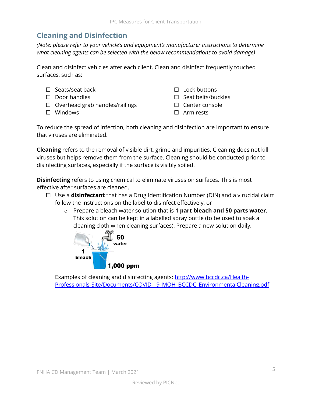## <span id="page-4-0"></span>**Cleaning and Disinfection**

*(Note: please refer to your vehicle's and equipment's manufacturer instructions to determine what cleaning agents can be selected with the below recommendations to avoid damage)*

Clean and disinfect vehicles after each client. Clean and disinfect frequently touched surfaces, such as:

- $\square$  Seats/seat back
- $\square$  Door handles
- $\Box$  Overhead grab handles/railings
- □ Windows
- $\square$  Lock buttons
- $\square$  Seat belts/buckles
- □ Center console
- □ Arm rests

To reduce the spread of infection, both cleaning and disinfection are important to ensure that viruses are eliminated.

**Cleaning** refers to the removal of visible dirt, grime and impurities. Cleaning does not kill viruses but helps remove them from the surface. Cleaning should be conducted prior to disinfecting surfaces, especially if the surface is visibly soiled.

**Disinfecting** refers to using chemical to eliminate viruses on surfaces. This is most effective after surfaces are cleaned.

- □ Use a **disinfectant** that has a Drug Identification Number (DIN) and a virucidal claim follow the instructions on the label to disinfect effectively, or
	- o Prepare a bleach water solution that is **1 part bleach and 50 parts water.** This solution can be kept in a labelled spray bottle (to be used to soak a cleaning cloth when cleaning surfaces). Prepare a new solution daily.



Examples of cleaning and disinfecting agents: [http://www.bccdc.ca/Health-](http://www.bccdc.ca/Health-Professionals-Site/Documents/COVID-19_MOH_BCCDC_EnvironmentalCleaning.pdf)[Professionals-Site/Documents/COVID-19\\_MOH\\_BCCDC\\_EnvironmentalCleaning.pdf](http://www.bccdc.ca/Health-Professionals-Site/Documents/COVID-19_MOH_BCCDC_EnvironmentalCleaning.pdf)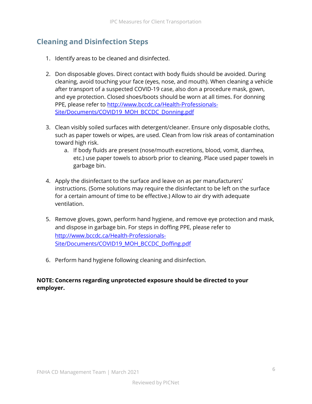### <span id="page-5-0"></span>**Cleaning and Disinfection Steps**

- 1. Identify areas to be cleaned and disinfected.
- 2. Don disposable gloves. Direct contact with body fluids should be avoided. During cleaning, avoid touching your face (eyes, nose, and mouth). When cleaning a vehicle after transport of a suspected COVID-19 case, also don a procedure mask, gown, and eye protection. Closed shoes/boots should be worn at all times. For donning PPE, please refer to [http://www.bccdc.ca/Health-Professionals-](http://www.bccdc.ca/Health-Professionals-Site/Documents/COVID19_MOH_BCCDC_Donning.pdf)[Site/Documents/COVID19\\_MOH\\_BCCDC\\_Donning.pdf](http://www.bccdc.ca/Health-Professionals-Site/Documents/COVID19_MOH_BCCDC_Donning.pdf)
- 3. Clean visibly soiled surfaces with detergent/cleaner. Ensure only disposable cloths, such as paper towels or wipes, are used. Clean from low risk areas of contamination toward high risk.
	- a. If body fluids are present (nose/mouth excretions, blood, vomit, diarrhea, etc.) use paper towels to absorb prior to cleaning. Place used paper towels in garbage bin.
- 4. Apply the disinfectant to the surface and leave on as per manufacturers' instructions. (Some solutions may require the disinfectant to be left on the surface for a certain amount of time to be effective.) Allow to air dry with adequate ventilation.
- 5. Remove gloves, gown, perform hand hygiene, and remove eye protection and mask, and dispose in garbage bin. For steps in doffing PPE, please refer to [http://www.bccdc.ca/Health-Professionals-](http://www.bccdc.ca/Health-Professionals-Site/Documents/COVID19_MOH_BCCDC_Doffing.pdf)[Site/Documents/COVID19\\_MOH\\_BCCDC\\_Doffing.pdf](http://www.bccdc.ca/Health-Professionals-Site/Documents/COVID19_MOH_BCCDC_Doffing.pdf)
- 6. Perform hand hygiene following cleaning and disinfection.

#### **NOTE: Concerns regarding unprotected exposure should be directed to your employer.**